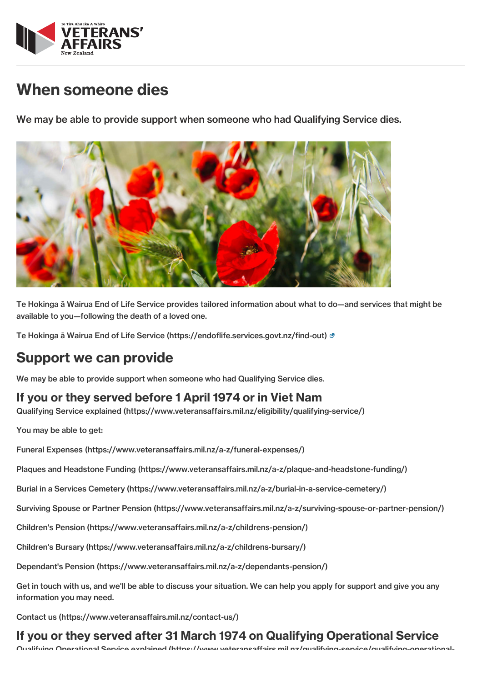

## When someone dies

We may be able to provide support when someone who had Qualifying Service dies.



Te Hokinga ā Wairua End of Life Service provides tailored information about what to do—and services that might be available to you—following the death of a loved one.

Te Hokinga ā Wairua End of Life Service [\(https://endoflife.services.govt.nz/find-out\)](https://endoflife.services.govt.nz/find-out)

## Support we can provide

We may be able to provide support when someone who had Qualifying Service dies.

## If you or they served before 1 April 1974 or in Viet Nam

Qualifying Service explained [\(https://www.veteransaffairs.mil.nz/eligibility/qualifying-service/\)](http://veteransaffairs.mil.nz/eligibility/qualifying-service/)

You may be able to get:

Funeral Expenses [\(https://www.veteransaffairs.mil.nz/a-z/funeral-expenses/\)](http://veteransaffairs.mil.nz/a-z/funeral-expenses/)

Plaques and Headstone Funding [\(https://www.veteransaffairs.mil.nz/a-z/plaque-and-headstone-funding/\)](http://veteransaffairs.mil.nz/a-z/plaque-and-headstone-funding/)

Burial in a Services Cemetery [\(https://www.veteransaffairs.mil.nz/a-z/burial-in-a-service-cemetery/\)](http://veteransaffairs.mil.nz/a-z/burial-in-a-service-cemetery/)

Surviving Spouse or Partner Pension [\(https://www.veteransaffairs.mil.nz/a-z/surviving-spouse-or-partner-pension/\)](http://veteransaffairs.mil.nz/a-z/surviving-spouse-or-partner-pension/)

Children's Pension [\(https://www.veteransaffairs.mil.nz/a-z/childrens-pension/\)](http://veteransaffairs.mil.nz/a-z/childrens-pension/)

Children's Bursary [\(https://www.veteransaffairs.mil.nz/a-z/childrens-bursary/\)](http://veteransaffairs.mil.nz/a-z/childrens-bursary/)

Dependant's Pension [\(https://www.veteransaffairs.mil.nz/a-z/dependants-pension/\)](http://veteransaffairs.mil.nz/a-z/dependants-pension/)

Get in touch with us, and we'll be able to discuss your situation. We can help you apply for support and give you any information you may need.

Contact us [\(https://www.veteransaffairs.mil.nz/contact-us/\)](http://veteransaffairs.mil.nz/contact-us/)

## If you or they served after 31 March 1974 on Qualifying Operational Service

Qualifying Operational Service explained (https://www.veteransaffairs.mil.nz/qualifying-service/qualifying-operational-